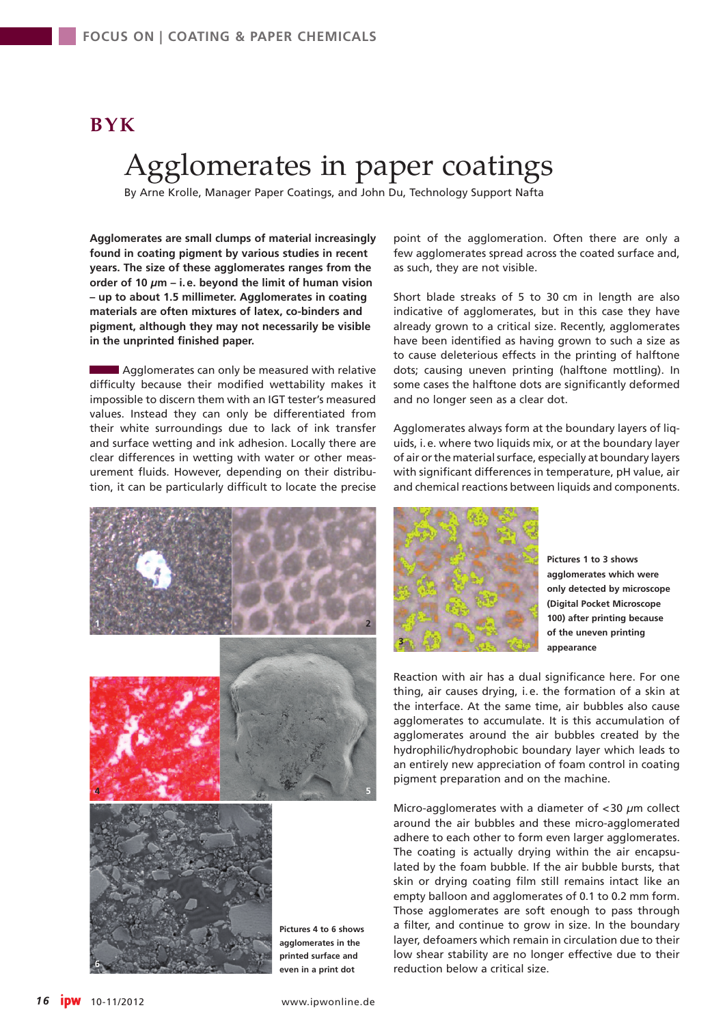## **BYK**

## Agglomerates in paper coatings

By Arne Krolle, Manager Paper Coatings, and John Du, Technology Support Nafta

**Agglomerates are small clumps of material increasingly found in coating pigment by various studies in recent years. The size of these agglomerates ranges from the order of 10** *µ***m – i.e. beyond the limit of human vision – up to about 1.5 millimeter. Agglomerates in coating materials are often mixtures of latex, co-binders and pigment, although they may not necessarily be visible in the unprinted finished paper.**

Agglomerates can only be measured with relative difficulty because their modified wettability makes it impossible to discern them with an IGT tester's measured values. Instead they can only be differentiated from their white surroundings due to lack of ink transfer and surface wetting and ink adhesion. Locally there are clear differences in wetting with water or other measurement fluids. However, depending on their distribution, it can be particularly difficult to locate the precise point of the agglomeration. Often there are only a few agglomerates spread across the coated surface and, as such, they are not visible.

Short blade streaks of 5 to 30 cm in length are also indicative of agglomerates, but in this case they have already grown to a critical size. Recently, agglomerates have been identified as having grown to such a size as to cause deleterious effects in the printing of halftone dots; causing uneven printing (halftone mottling). In some cases the halftone dots are significantly deformed and no longer seen as a clear dot.

Agglomerates always form at the boundary layers of liquids, i.e. where two liquids mix, or at the boundary layer of air or the material surface, especially at boundary layers with significant differences in temperature, pH value, air and chemical reactions between liquids and components.



**Pictures 1 to 3 shows agglomerates which were only detected by microscope (Digital Pocket Microscope 100) after printing because of the uneven printing appearance**

Reaction with air has a dual significance here. For one thing, air causes drying, i.e. the formation of a skin at the interface. At the same time, air bubbles also cause agglomerates to accumulate. It is this accumulation of agglomerates around the air bubbles created by the hydrophilic/hydrophobic boundary layer which leads to an entirely new appreciation of foam control in coating pigment preparation and on the machine.

Micro-agglomerates with a diameter of <30 *µ*m collect around the air bubbles and these micro-agglomerated adhere to each other to form even larger agglomerates. The coating is actually drying within the air encapsulated by the foam bubble. If the air bubble bursts, that skin or drying coating film still remains intact like an empty balloon and agglomerates of 0.1 to 0.2 mm form. Those agglomerates are soft enough to pass through a filter, and continue to grow in size. In the boundary layer, defoamers which remain in circulation due to their low shear stability are no longer effective due to their reduction below a critical size.